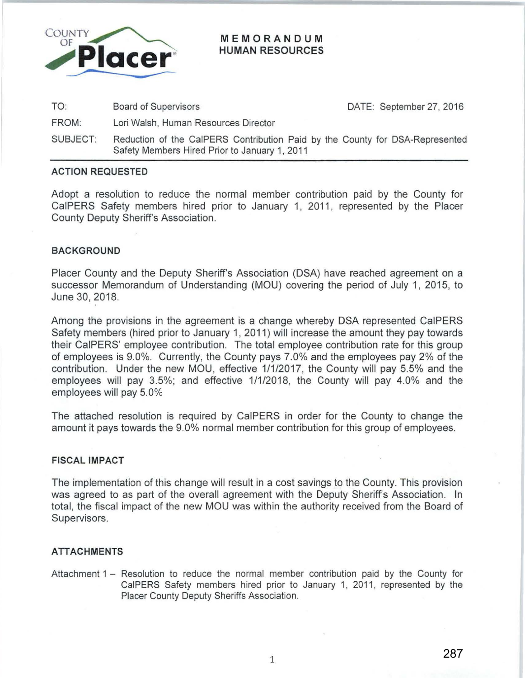

## MEMORANDUM HUMAN RESOURCES

TO: Board of Supervisors

DATE: September 27, 2016

- FROM: Lori Walsh, Human Resources Director
- SUBJECT: Reduction of the CaiPERS Contribution Paid by the County for DSA-Represented Safety Members Hired Prior to January 1, 2011

# ACTION REQUESTED

Adopt a resolution to reduce the normal member contribution paid by the County for CaiPERS Safety members hired prior to January 1, 2011 , represented by the Placer County Deputy Sheriff's Association.

# BACKGROUND

Placer County and the Deputy Sheriff's Association (DSA) have reached agreement on a successor Memorandum of Understanding (MOU) covering the period of July 1, 2015, to June 30, 2018.

Among the provisions in the agreement is a change whereby DSA represented CaiPERS Safety members (hired prior to January 1, 2011) will increase the amount they pay towards their CaiPERS' employee contribution. The total employee contribution rate for this group of employees is 9.0%. Currently, the County pays 7.0% and the employees pay 2% of the contribution. Under the new MOU, effective 1/1/2017, the County will pay 5.5% and the employees will pay 3.5%; and effective 1/1/2018, the County will pay 4.0% and the employees will pay 5.0%

The attached resolution is required by CaiPERS in order for the County to change the amount it pays towards the 9.0% normal member contribution for this group of employees.

#### FISCAL IMPACT

The implementation of this change will result in a cost savings to the County. This provision was agreed to as part of the overall agreement with the Deputy Sheriff's Association. In total, the fiscal impact of the new MOU was within the authority received from the Board of Supervisors.

# ATTACHMENTS

Attachment 1 - Resolution to reduce the normal member contribution paid by the County for CaiPERS Safety members hired prior to January 1, 2011, represented by the Placer County Deputy Sheriffs Association.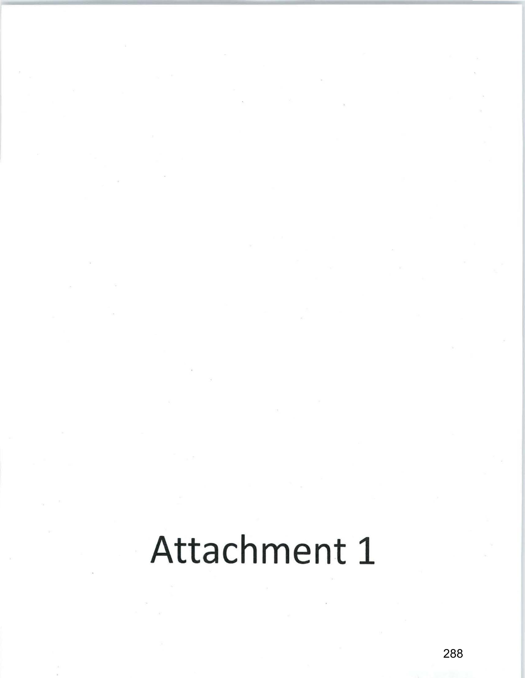# Attachment 1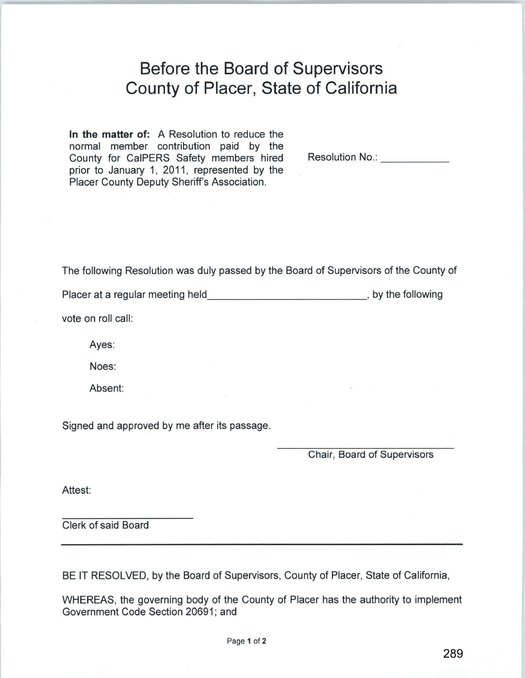# **Before the Board of Supervisors County of Placer, State of California**

**In the matter of:** A Resolution to reduce the normal member contribution paid by the County for CaiPERS Safety members hired prior to January 1, 2011, represented by the Placer County Deputy Sheriff's Association.

Resolution No.: **We also also have a little with Resolution No.:** 

The following Resolution was duly passed by the Board of Supervisors of the County of

Placer at a regular meeting held state of the state of the following placer at a regular meeting held

vote on roll call:

Ayes:

Noes:

Absent:

Signed and approved by me after its passage.

Chair, Board of Supervisors

Attest:

Clerk of said Board

BE IT RESOLVED, by the Board of Supervisors, County of Placer, State of California,

WHEREAS, the governing body of the County of Placer has the authority to implement Government Code Section 20691; and